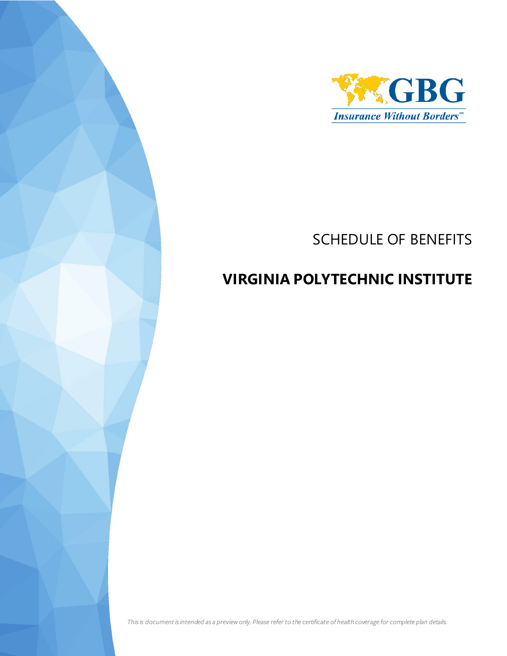

## SCHEDULE OF BENEFITS

## **VIRGINIA POLYTECHNIC INSTITUTE**

*This is document is intended as a preview only. Please refer to the certificate of health coverage for complete plan details.*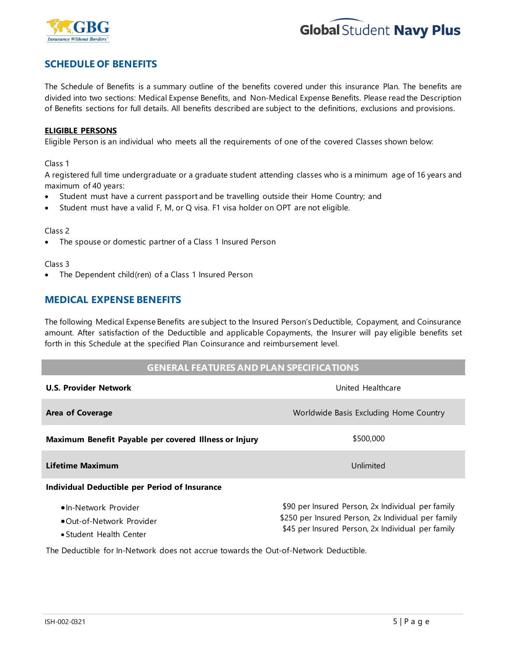



## **SCHEDULE OF BENEFITS**

The Schedule of Benefits is a summary outline of the benefits covered under this insurance Plan. The benefits are divided into two sections: Medical Expense Benefits, and Non-Medical Expense Benefits. Please read the Description of Benefits sections for full details. All benefits described are subject to the definitions, exclusions and provisions.

#### **ELIGIBLE PERSONS**

Eligible Person is an individual who meets all the requirements of one of the covered Classes shown below:

#### Class 1

A registered full time undergraduate or a graduate student attending classes who is a minimum age of 16 years and maximum of 40 years:

- Student must have a current passport and be travelling outside their Home Country; and
- Student must have a valid F, M, or Q visa. F1 visa holder on OPT are not eligible.

#### Class 2

The spouse or domestic partner of a Class 1 Insured Person

#### Class 3

The Dependent child(ren) of a Class 1 Insured Person

### **MEDICAL EXPENSE BENEFITS**

The following Medical Expense Benefits are subject to the Insured Person's Deductible, Copayment, and Coinsurance amount. After satisfaction of the Deductible and applicable Copayments, the Insurer will pay eligible benefits set forth in this Schedule at the specified Plan Coinsurance and reimbursement level.

#### **GENERAL FEATURES AND PLAN SPECIFICATIONS**

| <b>U.S. Provider Network</b>                                                         | United Healthcare                                                                                                                                            |  |
|--------------------------------------------------------------------------------------|--------------------------------------------------------------------------------------------------------------------------------------------------------------|--|
| <b>Area of Coverage</b>                                                              | Worldwide Basis Excluding Home Country                                                                                                                       |  |
| Maximum Benefit Payable per covered Illness or Injury                                | \$500,000                                                                                                                                                    |  |
| Lifetime Maximum                                                                     | Unlimited                                                                                                                                                    |  |
| Individual Deductible per Period of Insurance                                        |                                                                                                                                                              |  |
| •In-Network Provider<br>• Out-of-Network Provider<br>• Student Health Center         | \$90 per Insured Person, 2x Individual per family<br>\$250 per Insured Person, 2x Individual per family<br>\$45 per Insured Person, 2x Individual per family |  |
| The Deductible for In-Network does not accrue towards the Out-of-Network Deductible. |                                                                                                                                                              |  |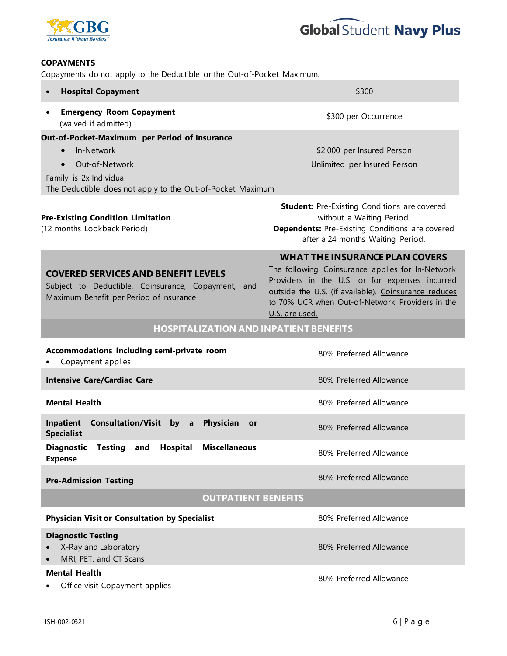



#### **COPAYMENTS**

Copayments do not apply to the Deductible or the Out-of-Pocket Maximum.

| <b>Hospital Copayment</b><br>$\bullet$                                                                                                                                                           | \$300                                                                                                                                                                                                                                                                    |  |
|--------------------------------------------------------------------------------------------------------------------------------------------------------------------------------------------------|--------------------------------------------------------------------------------------------------------------------------------------------------------------------------------------------------------------------------------------------------------------------------|--|
| <b>Emergency Room Copayment</b><br>$\bullet$<br>(waived if admitted)                                                                                                                             | \$300 per Occurrence                                                                                                                                                                                                                                                     |  |
| Out-of-Pocket-Maximum per Period of Insurance<br>In-Network<br>$\bullet$<br>Out-of-Network<br>$\bullet$<br>Family is 2x Individual<br>The Deductible does not apply to the Out-of-Pocket Maximum | \$2,000 per Insured Person<br>Unlimited per Insured Person                                                                                                                                                                                                               |  |
| <b>Pre-Existing Condition Limitation</b><br>(12 months Lookback Period)                                                                                                                          | <b>Student:</b> Pre-Existing Conditions are covered<br>without a Waiting Period.<br><b>Dependents:</b> Pre-Existing Conditions are covered<br>after a 24 months Waiting Period.                                                                                          |  |
| <b>COVERED SERVICES AND BENEFIT LEVELS</b><br>Subject to Deductible, Coinsurance, Copayment,<br>and<br>Maximum Benefit per Period of Insurance                                                   | <b>WHAT THE INSURANCE PLAN COVERS</b><br>The following Coinsurance applies for In-Network<br>Providers in the U.S. or for expenses incurred<br>outside the U.S. (if available). Coinsurance reduces<br>to 70% UCR when Out-of-Network Providers in the<br>U.S. are used. |  |
| <b>HOSPITALIZATION AND INPATIENT BENEFITS</b>                                                                                                                                                    |                                                                                                                                                                                                                                                                          |  |
| Accommodations including semi-private room<br>Copayment applies                                                                                                                                  | 80% Preferred Allowance                                                                                                                                                                                                                                                  |  |
| <b>Intensive Care/Cardiac Care</b>                                                                                                                                                               | 80% Preferred Allowance                                                                                                                                                                                                                                                  |  |
| <b>Mental Health</b>                                                                                                                                                                             | 80% Preferred Allowance                                                                                                                                                                                                                                                  |  |
| Inpatient<br>Consultation/Visit by a<br>Physician<br>or<br><b>Specialist</b>                                                                                                                     | 80% Preferred Allowance                                                                                                                                                                                                                                                  |  |
| <b>Diagnostic</b><br>Hospital<br><b>Miscellaneous</b><br>Testing<br>and<br><b>Expense</b>                                                                                                        | 80% Preferred Allowance                                                                                                                                                                                                                                                  |  |
| <b>Pre-Admission Testing</b>                                                                                                                                                                     | 80% Preferred Allowance                                                                                                                                                                                                                                                  |  |
| <b>OUTPATIENT BENEFITS</b>                                                                                                                                                                       |                                                                                                                                                                                                                                                                          |  |
| <b>Physician Visit or Consultation by Specialist</b>                                                                                                                                             | 80% Preferred Allowance                                                                                                                                                                                                                                                  |  |
| <b>Diagnostic Testing</b><br>X-Ray and Laboratory<br>MRI, PET, and CT Scans                                                                                                                      | 80% Preferred Allowance                                                                                                                                                                                                                                                  |  |
| <b>Mental Health</b><br>Office visit Copayment applies                                                                                                                                           | 80% Preferred Allowance                                                                                                                                                                                                                                                  |  |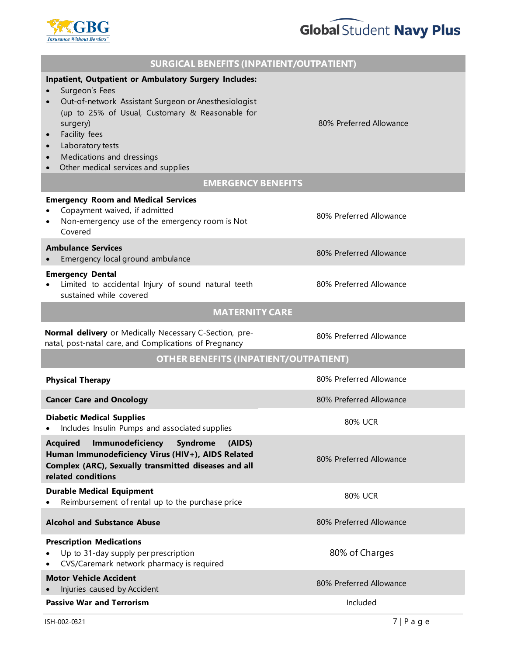# **Global Student Navy Plus**



| <b>SURGICAL BENEFITS (INPATIENT/OUTPATIENT)</b>                                                                                                                                                                                                                                                         |                         |  |
|---------------------------------------------------------------------------------------------------------------------------------------------------------------------------------------------------------------------------------------------------------------------------------------------------------|-------------------------|--|
| Inpatient, Outpatient or Ambulatory Surgery Includes:<br>Surgeon's Fees<br>Out-of-network Assistant Surgeon or Anesthesiologist<br>(up to 25% of Usual, Customary & Reasonable for<br>surgery)<br>Facility fees<br>Laboratory tests<br>Medications and dressings<br>Other medical services and supplies | 80% Preferred Allowance |  |
| <b>EMERGENCY BENEFITS</b>                                                                                                                                                                                                                                                                               |                         |  |
| <b>Emergency Room and Medical Services</b><br>Copayment waived, if admitted<br>Non-emergency use of the emergency room is Not<br>Covered                                                                                                                                                                | 80% Preferred Allowance |  |
| <b>Ambulance Services</b><br>Emergency local ground ambulance                                                                                                                                                                                                                                           | 80% Preferred Allowance |  |
| <b>Emergency Dental</b><br>Limited to accidental Injury of sound natural teeth<br>sustained while covered                                                                                                                                                                                               | 80% Preferred Allowance |  |
| <b>MATERNITY CARE</b>                                                                                                                                                                                                                                                                                   |                         |  |
| Normal delivery or Medically Necessary C-Section, pre-<br>natal, post-natal care, and Complications of Pregnancy                                                                                                                                                                                        | 80% Preferred Allowance |  |
| <b>OTHER BENEFITS (INPATIENT/OUTPATIENT)</b>                                                                                                                                                                                                                                                            |                         |  |
| <b>Physical Therapy</b>                                                                                                                                                                                                                                                                                 | 80% Preferred Allowance |  |
| <b>Cancer Care and Oncology</b>                                                                                                                                                                                                                                                                         | 80% Preferred Allowance |  |
| <b>Diabetic Medical Supplies</b><br>Includes Insulin Pumps and associated supplies                                                                                                                                                                                                                      | 80% UCR                 |  |
| Immunodeficiency<br><b>Syndrome</b><br><b>Acquired</b><br>(AIDS)<br>Human Immunodeficiency Virus (HIV+), AIDS Related<br>Complex (ARC), Sexually transmitted diseases and all<br>related conditions                                                                                                     | 80% Preferred Allowance |  |
| <b>Durable Medical Equipment</b><br>Reimbursement of rental up to the purchase price                                                                                                                                                                                                                    | <b>80% UCR</b>          |  |
| <b>Alcohol and Substance Abuse</b>                                                                                                                                                                                                                                                                      | 80% Preferred Allowance |  |
| <b>Prescription Medications</b><br>Up to 31-day supply per prescription<br>CVS/Caremark network pharmacy is required                                                                                                                                                                                    | 80% of Charges          |  |
| <b>Motor Vehicle Accident</b><br>Injuries caused by Accident                                                                                                                                                                                                                                            | 80% Preferred Allowance |  |
| <b>Passive War and Terrorism</b>                                                                                                                                                                                                                                                                        | Included                |  |